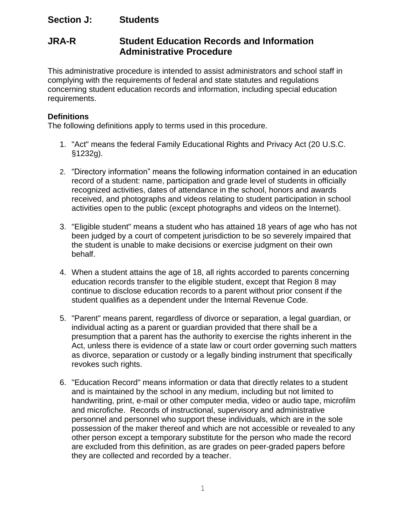# **Section J: Students**

# **JRA-R Student Education Records and Information Administrative Procedure**

This administrative procedure is intended to assist administrators and school staff in complying with the requirements of federal and state statutes and regulations concerning student education records and information, including special education requirements.

## **Definitions**

The following definitions apply to terms used in this procedure.

- 1. "Act" means the federal Family Educational Rights and Privacy Act (20 U.S.C. §1232g).
- 2. "Directory information" means the following information contained in an education record of a student: name, participation and grade level of students in officially recognized activities, dates of attendance in the school, honors and awards received, and photographs and videos relating to student participation in school activities open to the public (except photographs and videos on the Internet).
- 3. "Eligible student" means a student who has attained 18 years of age who has not been judged by a court of competent jurisdiction to be so severely impaired that the student is unable to make decisions or exercise judgment on their own behalf.
- 4. When a student attains the age of 18, all rights accorded to parents concerning education records transfer to the eligible student, except that Region 8 may continue to disclose education records to a parent without prior consent if the student qualifies as a dependent under the Internal Revenue Code.
- 5. "Parent" means parent, regardless of divorce or separation, a legal guardian, or individual acting as a parent or guardian provided that there shall be a presumption that a parent has the authority to exercise the rights inherent in the Act, unless there is evidence of a state law or court order governing such matters as divorce, separation or custody or a legally binding instrument that specifically revokes such rights.
- 6. "Education Record" means information or data that directly relates to a student and is maintained by the school in any medium, including but not limited to handwriting, print, e-mail or other computer media, video or audio tape, microfilm and microfiche. Records of instructional, supervisory and administrative personnel and personnel who support these individuals, which are in the sole possession of the maker thereof and which are not accessible or revealed to any other person except a temporary substitute for the person who made the record are excluded from this definition, as are grades on peer-graded papers before they are collected and recorded by a teacher.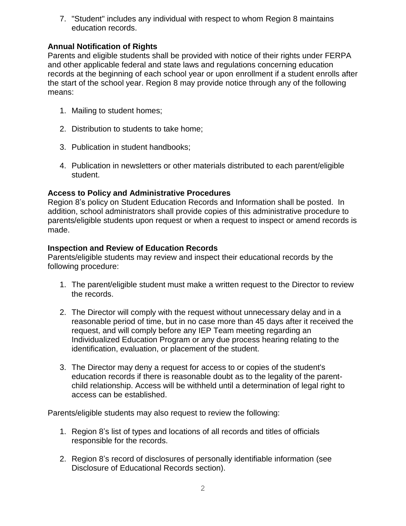7. "Student" includes any individual with respect to whom Region 8 maintains education records.

# **Annual Notification of Rights**

Parents and eligible students shall be provided with notice of their rights under FERPA and other applicable federal and state laws and regulations concerning education records at the beginning of each school year or upon enrollment if a student enrolls after the start of the school year. Region 8 may provide notice through any of the following means:

- 1. Mailing to student homes;
- 2. Distribution to students to take home;
- 3. Publication in student handbooks;
- 4. Publication in newsletters or other materials distributed to each parent/eligible student.

# **Access to Policy and Administrative Procedures**

Region 8's policy on Student Education Records and Information shall be posted. In addition, school administrators shall provide copies of this administrative procedure to parents/eligible students upon request or when a request to inspect or amend records is made.

## **Inspection and Review of Education Records**

Parents/eligible students may review and inspect their educational records by the following procedure:

- 1. The parent/eligible student must make a written request to the Director to review the records.
- 2. The Director will comply with the request without unnecessary delay and in a reasonable period of time, but in no case more than 45 days after it received the request, and will comply before any IEP Team meeting regarding an Individualized Education Program or any due process hearing relating to the identification, evaluation, or placement of the student.
- 3. The Director may deny a request for access to or copies of the student's education records if there is reasonable doubt as to the legality of the parentchild relationship. Access will be withheld until a determination of legal right to access can be established.

Parents/eligible students may also request to review the following:

- 1. Region 8's list of types and locations of all records and titles of officials responsible for the records.
- 2. Region 8's record of disclosures of personally identifiable information (see Disclosure of Educational Records section).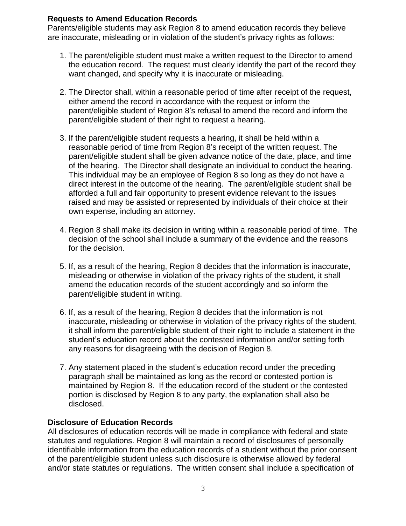#### **Requests to Amend Education Records**

Parents/eligible students may ask Region 8 to amend education records they believe are inaccurate, misleading or in violation of the student's privacy rights as follows:

- 1. The parent/eligible student must make a written request to the Director to amend the education record. The request must clearly identify the part of the record they want changed, and specify why it is inaccurate or misleading.
- 2. The Director shall, within a reasonable period of time after receipt of the request, either amend the record in accordance with the request or inform the parent/eligible student of Region 8's refusal to amend the record and inform the parent/eligible student of their right to request a hearing.
- 3. If the parent/eligible student requests a hearing, it shall be held within a reasonable period of time from Region 8's receipt of the written request. The parent/eligible student shall be given advance notice of the date, place, and time of the hearing. The Director shall designate an individual to conduct the hearing. This individual may be an employee of Region 8 so long as they do not have a direct interest in the outcome of the hearing. The parent/eligible student shall be afforded a full and fair opportunity to present evidence relevant to the issues raised and may be assisted or represented by individuals of their choice at their own expense, including an attorney.
- 4. Region 8 shall make its decision in writing within a reasonable period of time. The decision of the school shall include a summary of the evidence and the reasons for the decision.
- 5. If, as a result of the hearing, Region 8 decides that the information is inaccurate, misleading or otherwise in violation of the privacy rights of the student, it shall amend the education records of the student accordingly and so inform the parent/eligible student in writing.
- 6. If, as a result of the hearing, Region 8 decides that the information is not inaccurate, misleading or otherwise in violation of the privacy rights of the student, it shall inform the parent/eligible student of their right to include a statement in the student's education record about the contested information and/or setting forth any reasons for disagreeing with the decision of Region 8.
- 7. Any statement placed in the student's education record under the preceding paragraph shall be maintained as long as the record or contested portion is maintained by Region 8. If the education record of the student or the contested portion is disclosed by Region 8 to any party, the explanation shall also be disclosed.

## **Disclosure of Education Records**

All disclosures of education records will be made in compliance with federal and state statutes and regulations. Region 8 will maintain a record of disclosures of personally identifiable information from the education records of a student without the prior consent of the parent/eligible student unless such disclosure is otherwise allowed by federal and/or state statutes or regulations. The written consent shall include a specification of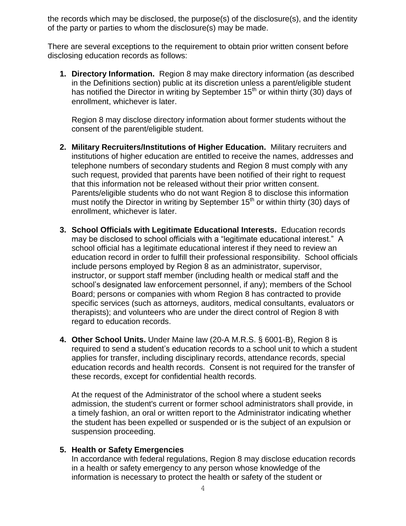the records which may be disclosed, the purpose(s) of the disclosure(s), and the identity of the party or parties to whom the disclosure(s) may be made.

There are several exceptions to the requirement to obtain prior written consent before disclosing education records as follows:

**1. Directory Information.** Region 8 may make directory information (as described in the Definitions section) public at its discretion unless a parent/eligible student has notified the Director in writing by September 15<sup>th</sup> or within thirty (30) days of enrollment, whichever is later.

Region 8 may disclose directory information about former students without the consent of the parent/eligible student.

- **2. Military Recruiters/Institutions of Higher Education.** Military recruiters and institutions of higher education are entitled to receive the names, addresses and telephone numbers of secondary students and Region 8 must comply with any such request, provided that parents have been notified of their right to request that this information not be released without their prior written consent. Parents/eligible students who do not want Region 8 to disclose this information must notify the Director in writing by September 15<sup>th</sup> or within thirty (30) days of enrollment, whichever is later.
- **3. School Officials with Legitimate Educational Interests.** Education records may be disclosed to school officials with a "legitimate educational interest." A school official has a legitimate educational interest if they need to review an education record in order to fulfill their professional responsibility. School officials include persons employed by Region 8 as an administrator, supervisor, instructor, or support staff member (including health or medical staff and the school's designated law enforcement personnel, if any); members of the School Board; persons or companies with whom Region 8 has contracted to provide specific services (such as attorneys, auditors, medical consultants, evaluators or therapists); and volunteers who are under the direct control of Region 8 with regard to education records.
- **4. Other School Units.** Under Maine law (20-A M.R.S. § 6001-B), Region 8 is required to send a student's education records to a school unit to which a student applies for transfer, including disciplinary records, attendance records, special education records and health records. Consent is not required for the transfer of these records, except for confidential health records.

At the request of the Administrator of the school where a student seeks admission, the student's current or former school administrators shall provide, in a timely fashion, an oral or written report to the Administrator indicating whether the student has been expelled or suspended or is the subject of an expulsion or suspension proceeding.

#### **5. Health or Safety Emergencies**

In accordance with federal regulations, Region 8 may disclose education records in a health or safety emergency to any person whose knowledge of the information is necessary to protect the health or safety of the student or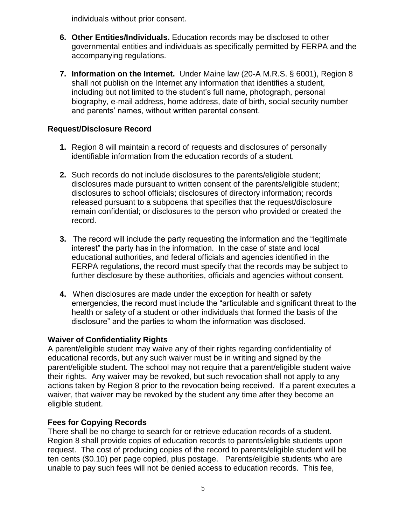individuals without prior consent.

- **6. Other Entities/Individuals.** Education records may be disclosed to other governmental entities and individuals as specifically permitted by FERPA and the accompanying regulations.
- **7. Information on the Internet.** Under Maine law (20-A M.R.S. § 6001), Region 8 shall not publish on the Internet any information that identifies a student, including but not limited to the student's full name, photograph, personal biography, e-mail address, home address, date of birth, social security number and parents' names, without written parental consent.

# **Request/Disclosure Record**

- **1.** Region 8 will maintain a record of requests and disclosures of personally identifiable information from the education records of a student.
- **2.** Such records do not include disclosures to the parents/eligible student; disclosures made pursuant to written consent of the parents/eligible student; disclosures to school officials; disclosures of directory information; records released pursuant to a subpoena that specifies that the request/disclosure remain confidential; or disclosures to the person who provided or created the record.
- **3.** The record will include the party requesting the information and the "legitimate interest" the party has in the information. In the case of state and local educational authorities, and federal officials and agencies identified in the FERPA regulations, the record must specify that the records may be subject to further disclosure by these authorities, officials and agencies without consent.
- **4.** When disclosures are made under the exception for health or safety emergencies, the record must include the "articulable and significant threat to the health or safety of a student or other individuals that formed the basis of the disclosure" and the parties to whom the information was disclosed.

## **Waiver of Confidentiality Rights**

A parent/eligible student may waive any of their rights regarding confidentiality of educational records, but any such waiver must be in writing and signed by the parent/eligible student. The school may not require that a parent/eligible student waive their rights. Any waiver may be revoked, but such revocation shall not apply to any actions taken by Region 8 prior to the revocation being received. If a parent executes a waiver, that waiver may be revoked by the student any time after they become an eligible student.

# **Fees for Copying Records**

There shall be no charge to search for or retrieve education records of a student. Region 8 shall provide copies of education records to parents/eligible students upon request. The cost of producing copies of the record to parents/eligible student will be ten cents (\$0.10) per page copied, plus postage.Parents/eligible students who are unable to pay such fees will not be denied access to education records. This fee,